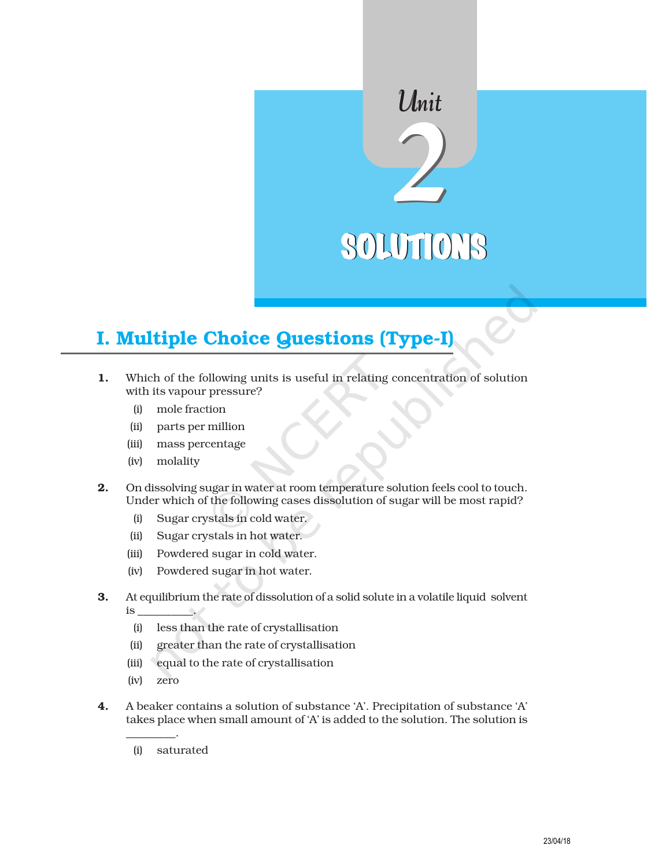# SOLUTIONS

Unit

# I. Multiple Choice Questions (Type-I)

- 1. Which of the following units is useful in relating concentration of solution with its vapour pressure?
	- (i) mole fraction
	- (ii) parts per million
	- (iii) mass percentage
	- (iv) molality
- 2. On dissolving sugar in water at room temperature solution feels cool to touch. Under which of the following cases dissolution of sugar will be most rapid?
	- (i) Sugar crystals in cold water.
	- (ii) Sugar crystals in hot water.
	- (iii) Powdered sugar in cold water.
	- (iv) Powdered sugar in hot water.
- 3. At equilibrium the rate of dissolution of a solid solute in a volatile liquid solvent is \_\_\_\_\_\_\_\_\_\_.
	- (i) less than the rate of crystallisation
	- (ii) greater than the rate of crystallisation
	- (iii) equal to the rate of crystallisation
	- (iv) zero

\_\_\_\_\_\_\_\_\_.

- 4. A beaker contains a solution of substance 'A'. Precipitation of substance 'A' takes place when small amount of 'A' is added to the solution. The solution is
	- (i) saturated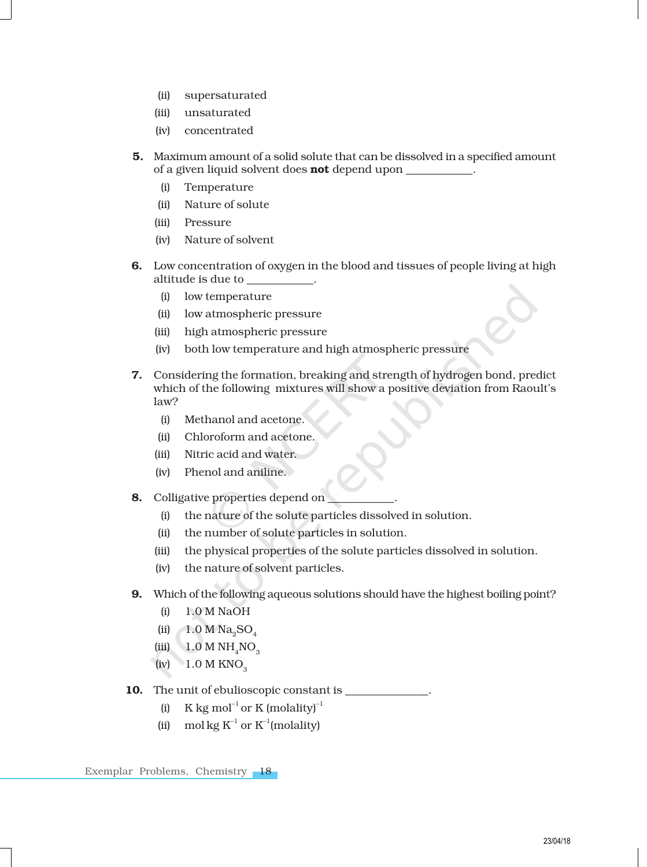- (ii) supersaturated
- (iii) unsaturated
- (iv) concentrated
- 5. Maximum amount of a solid solute that can be dissolved in a specified amount of a given liquid solvent does **not** depend upon
	- (i) Temperature
	- (ii) Nature of solute
	- (iii) Pressure
	- (iv) Nature of solvent
- 6. Low concentration of oxygen in the blood and tissues of people living at high altitude is due to \_\_\_\_\_\_\_\_\_\_\_\_.
	- (i) low temperature
	- (ii) low atmospheric pressure
	- (iii) high atmospheric pressure
	- (iv) both low temperature and high atmospheric pressure
- 7. Considering the formation, breaking and strength of hydrogen bond, predict which of the following mixtures will show a positive deviation from Raoult's law?
	- (i) Methanol and acetone.
	- (ii) Chloroform and acetone.
	- (iii) Nitric acid and water.
	- (iv) Phenol and aniline.
- 8. Colligative properties depend on
	- (i) the nature of the solute particles dissolved in solution.
	- (ii) the number of solute particles in solution.
	- (iii) the physical properties of the solute particles dissolved in solution.
	- (iv) the nature of solvent particles.
- 9. Which of the following aqueous solutions should have the highest boiling point?
	- (i) 1.0 M NaOH
	- (ii)  $1.0 M Na<sub>9</sub>SO<sub>4</sub>$
	- $(iii)$  1.0 M NH<sub>4</sub>NO<sub>3</sub>
	- $(iv) 1.0 M KNO<sub>3</sub>$
- 10. The unit of ebulioscopic constant is  $\equiv$ 
	- (i) K kg mol<sup>-1</sup> or K (molality)<sup>-1</sup>
	- (ii) mol kg  $K^{-1}$  or  $K^{-1}$ (molality)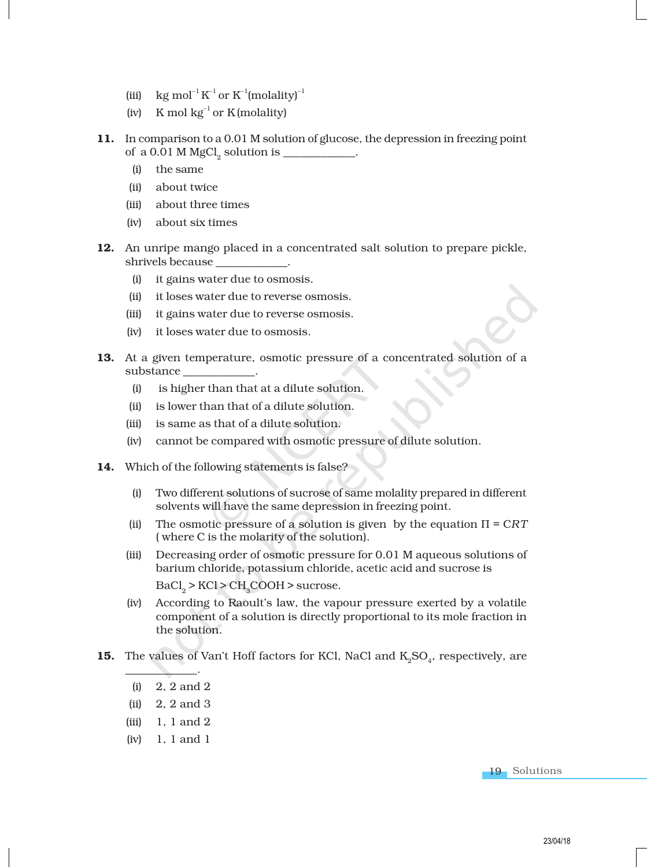- (iii) kg mol $^{-1}$  K $^{-1}$  or K $^{-1}$ (molality) $^{-1}$
- (iv) K mol  $kg^{-1}$  or K (molality)
- 11. In comparison to a 0.01 M solution of glucose, the depression in freezing point of a 0.01 M  $MgCl_2$  solution is \_\_\_\_\_\_\_\_\_\_\_.
	- (i) the same
	- (ii) about twice
	- (iii) about three times
	- (iv) about six times
- 12. An unripe mango placed in a concentrated salt solution to prepare pickle, shrivels because \_\_\_\_\_\_\_\_\_\_\_\_\_.
	- (i) it gains water due to osmosis.
	- (ii) it loses water due to reverse osmosis.
	- (iii) it gains water due to reverse osmosis.
	- (iv) it loses water due to osmosis.
- 13. At a given temperature, osmotic pressure of a concentrated solution of a substance
	- (i) is higher than that at a dilute solution.
	- (ii) is lower than that of a dilute solution.
	- (iii) is same as that of a dilute solution.
	- (iv) cannot be compared with osmotic pressure of dilute solution.
- 14. Which of the following statements is false?
	- (i) Two different solutions of sucrose of same molality prepared in different solvents will have the same depression in freezing point.
	- (ii) The osmotic pressure of a solution is given by the equation  $\Pi = CRT$ ( where C is the molarity of the solution).
	- (iii) Decreasing order of osmotic pressure for 0.01 M aqueous solutions of barium chloride, potassium chloride, acetic acid and sucrose is  $\mathrm{BaCl}_2$  > KCl > CH<sub>3</sub>COOH > sucrose.
	- (iv) According to Raoult's law, the vapour pressure exerted by a volatile component of a solution is directly proportional to its mole fraction in the solution.
- **15.** The values of Van't Hoff factors for KCl, NaCl and  $K_2SO_4$ , respectively, are
	- (i) 2, 2 and 2

 $\qquad \qquad \qquad \qquad$ 

- (ii) 2, 2 and 3
- $(iii)$  1, 1 and 2
- (iv) 1, 1 and 1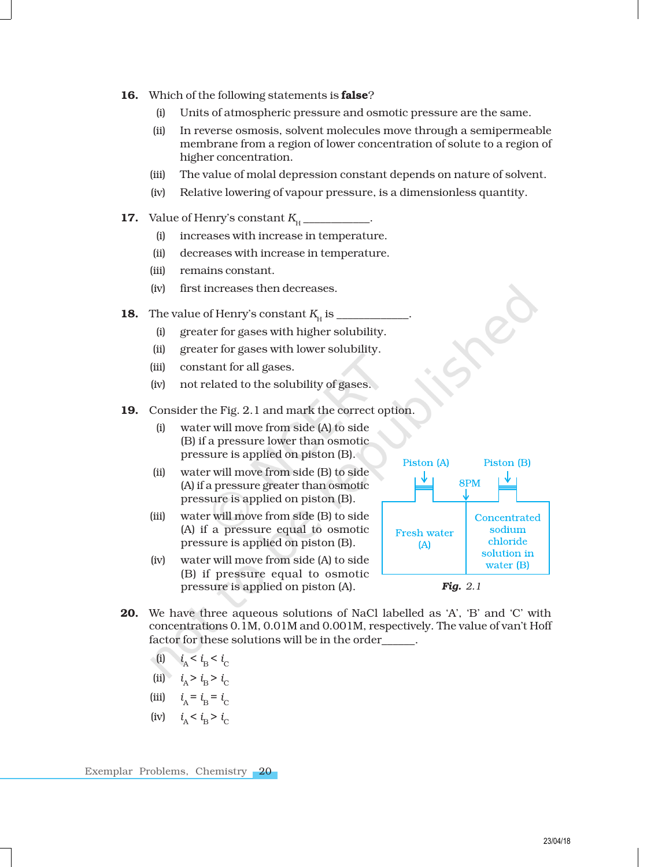- 16. Which of the following statements is **false**?
	- (i) Units of atmospheric pressure and osmotic pressure are the same.
	- (ii) In reverse osmosis, solvent molecules move through a semipermeable membrane from a region of lower concentration of solute to a region of higher concentration.
	- (iii) The value of molal depression constant depends on nature of solvent.
	- (iv) Relative lowering of vapour pressure, is a dimensionless quantity.
- **17.** Value of Henry's constant  $K_{\text{H}}$  \_\_\_\_\_\_\_\_\_.
	- (i) increases with increase in temperature.
	- (ii) decreases with increase in temperature.
	- (iii) remains constant.
	- (iv) first increases then decreases.
- **18.** The value of Henry's constant  $K_H$  is \_\_\_\_\_\_\_\_\_\_\_.
	- (i) greater for gases with higher solubility.
	- (ii) greater for gases with lower solubility.
	- (iii) constant for all gases.
	- (iv) not related to the solubility of gases.
- 19. Consider the Fig. 2.1 and mark the correct option.
	- (i) water will move from side (A) to side (B) if a pressure lower than osmotic pressure is applied on piston (B).
	- (ii) water will move from side (B) to side (A) if a pressure greater than osmotic pressure is applied on piston (B).
	- (iii) water will move from side (B) to side (A) if a pressure equal to osmotic pressure is applied on piston (B).
	- (iv) water will move from side (A) to side (B) if pressure equal to osmotic pressure is applied on piston (A).



- 20. We have three aqueous solutions of NaCl labelled as 'A', 'B' and 'C' with concentrations 0.1M, 0.01M and 0.001M, respectively. The value of van't Hoff factor for these solutions will be in the order\_\_\_\_\_\_.
	- (i)  $i_A < i_B < i_C$
	- (ii)  $i_A > i_B > i_C$
	- (iii)  $i_{A} = i_{B} = i_{C}$
	- (iv)  $i_A < i_B > i_C$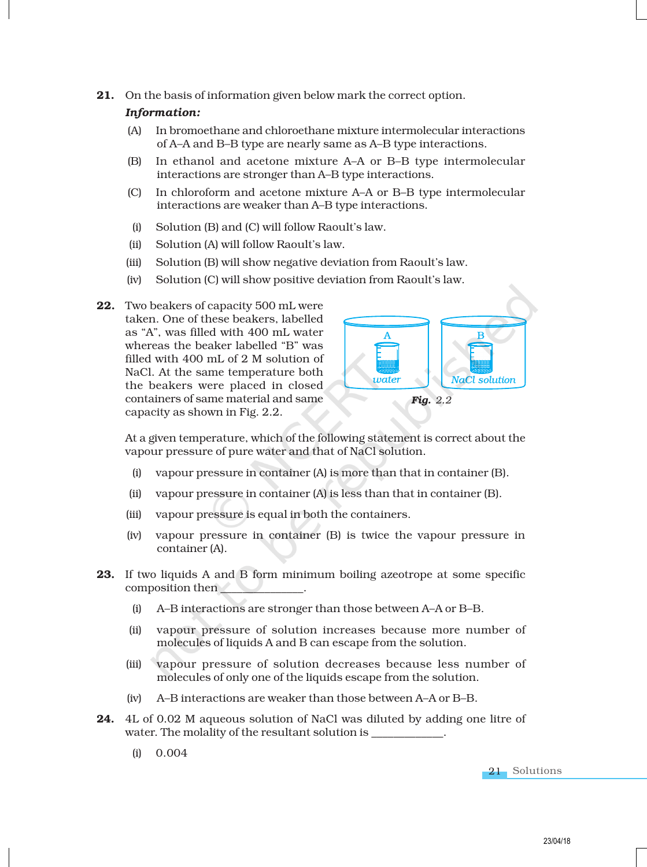21. On the basis of information given below mark the correct option.

### *Information:*

- (A) In bromoethane and chloroethane mixture intermolecular interactions of A–A and B–B type are nearly same as A–B type interactions.
- (B) In ethanol and acetone mixture A–A or B–B type intermolecular interactions are stronger than A–B type interactions.
- (C) In chloroform and acetone mixture A–A or B–B type intermolecular interactions are weaker than A–B type interactions.
- (i) Solution (B) and (C) will follow Raoult's law.
- (ii) Solution (A) will follow Raoult's law.
- (iii) Solution (B) will show negative deviation from Raoult's law.
- (iv) Solution (C) will show positive deviation from Raoult's law.
- 22. Two beakers of capacity 500 mL were taken. One of these beakers, labelled as "A", was filled with 400 mL water whereas the beaker labelled "B" was filled with 400 mL of 2 M solution of NaCl. At the same temperature both the beakers were placed in closed containers of same material and same capacity as shown in Fig. 2.2.



At a given temperature, which of the following statement is correct about the vapour pressure of pure water and that of NaCl solution.

- (i) vapour pressure in container (A) is more than that in container (B).
- (ii) vapour pressure in container (A) is less than that in container (B).
- (iii) vapour pressure is equal in both the containers.
- (iv) vapour pressure in container (B) is twice the vapour pressure in container (A).
- 23. If two liquids A and B form minimum boiling azeotrope at some specific composition then \_\_\_\_\_\_\_\_\_\_\_\_\_\_\_.
	- (i) A–B interactions are stronger than those between A–A or B–B.
	- (ii) vapour pressure of solution increases because more number of molecules of liquids A and B can escape from the solution.
	- (iii) vapour pressure of solution decreases because less number of molecules of only one of the liquids escape from the solution.
	- (iv) A–B interactions are weaker than those between A–A or B–B.
- 24. 4L of 0.02 M aqueous solution of NaCl was diluted by adding one litre of water. The molality of the resultant solution is
	- (i) 0.004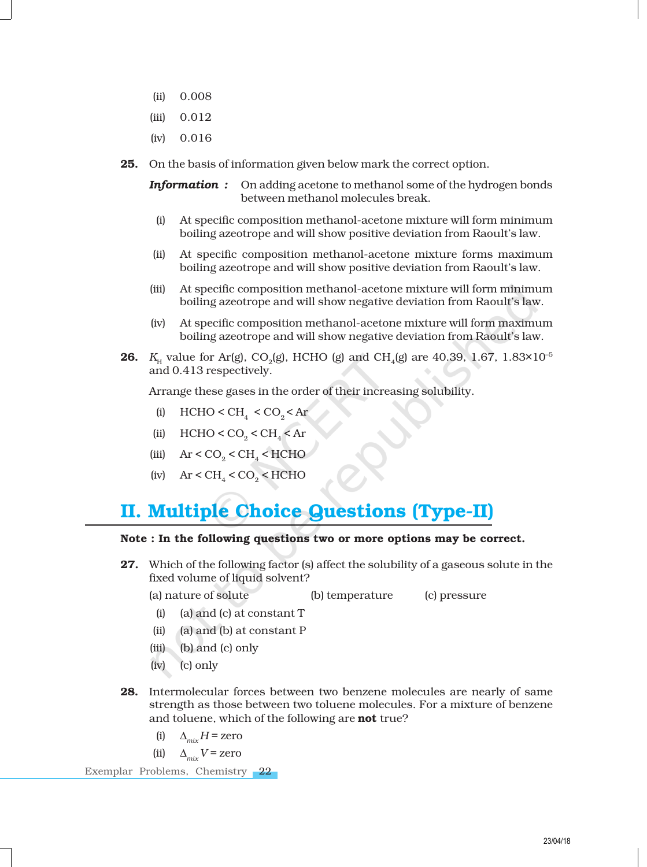- (ii) 0.008
- (iii) 0.012
- (iv) 0.016
- 25. On the basis of information given below mark the correct option.

*Information :* On adding acetone to methanol some of the hydrogen bonds between methanol molecules break.

- (i) At specific composition methanol-acetone mixture will form minimum boiling azeotrope and will show positive deviation from Raoult's law.
- (ii) At specific composition methanol-acetone mixture forms maximum boiling azeotrope and will show positive deviation from Raoult's law.
- (iii) At specific composition methanol-acetone mixture will form minimum boiling azeotrope and will show negative deviation from Raoult's law.
- (iv) At specific composition methanol-acetone mixture will form maximum boiling azeotrope and will show negative deviation from Raoult's law.
- **26.**  $K_{\rm H}$  value for Ar(g), CO<sub>2</sub>(g), HCHO (g) and CH<sub>4</sub>(g) are 40.39, 1.67, 1.83×10<sup>-5</sup> and 0.413 respectively.

Arrange these gases in the order of their increasing solubility.

- (i)  $HCHO < CH<sub>4</sub> < CO<sub>2</sub> < Ar$
- (ii)  $HCHO < CO_2 < CH_4 < Ar$
- (iii)  $\text{Ar} < \text{CO}_2 < \text{CH}_4 < \text{HCHO}$
- (iv)  $\text{Ar} < \text{CH}_4 < \text{CO}_2 < \text{HCHO}$

## II. Multiple Choice Questions (Type-II)

### Note : In the following questions two or more options may be correct.

27. Which of the following factor (s) affect the solubility of a gaseous solute in the fixed volume of liquid solvent?

(a) nature of solute (b) temperature (c) pressure

- (i) (a) and (c) at constant T
- (ii) (a) and (b) at constant P
- (iii) (b) and (c) only
- (iv) (c) only
- 28. Intermolecular forces between two benzene molecules are nearly of same strength as those between two toluene molecules. For a mixture of benzene and toluene, which of the following are **not** true?
	- (i)  $\Delta_{\text{mix}} H =$ zero
	- (ii)  $\Delta_{mix} V =$ zero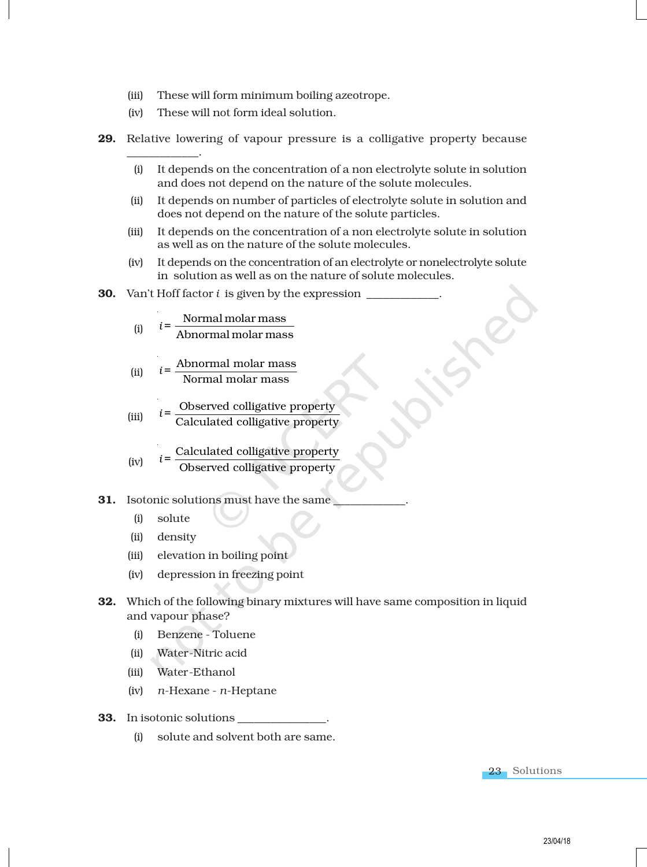- (iii) These will form minimum boiling azeotrope.
- (iv) These will not form ideal solution.
- 29. Relative lowering of vapour pressure is a colligative property because
	- (i) It depends on the concentration of a non electrolyte solute in solution and does not depend on the nature of the solute molecules.
	- (ii) It depends on number of particles of electrolyte solute in solution and does not depend on the nature of the solute particles.
	- (iii) It depends on the concentration of a non electrolyte solute in solution as well as on the nature of the solute molecules.
	- (iv) It depends on the concentration of an electrolyte or nonelectrolyte solute in solution as well as on the nature of solute molecules.

#### **30.** Van't Hoff factor *i* is given by the expression  $\Box$

(i) 
$$
i = \frac{\text{Normal molar mass}}{\text{Abnormal molar mass}}
$$

(ii) 
$$
i = \frac{\text{Abnormal molar mass}}{\text{Normal molar mass}}
$$

(iii) 
$$
i = \frac{\text{Observed colligative property}}{\text{Calculated colligative property}}
$$

(iv) 
$$
i = \frac{\text{Calculated colligative property}}{\text{Observed colligative property}}
$$

- **31.** Isotonic solutions must have the same
	- (i) solute

\_\_\_\_\_\_\_\_\_\_\_\_\_.

- (ii) density
- (iii) elevation in boiling point
- (iv) depression in freezing point
- 32. Which of the following binary mixtures will have same composition in liquid and vapour phase?
	- (i) Benzene Toluene
	- (ii) Water-Nitric acid
	- (iii) Water-Ethanol
	- (iv) *n*-Hexane *n*-Heptane
- 33. In isotonic solutions \_\_\_\_\_\_\_\_\_\_\_\_\_\_\_\_.
	- (i) solute and solvent both are same.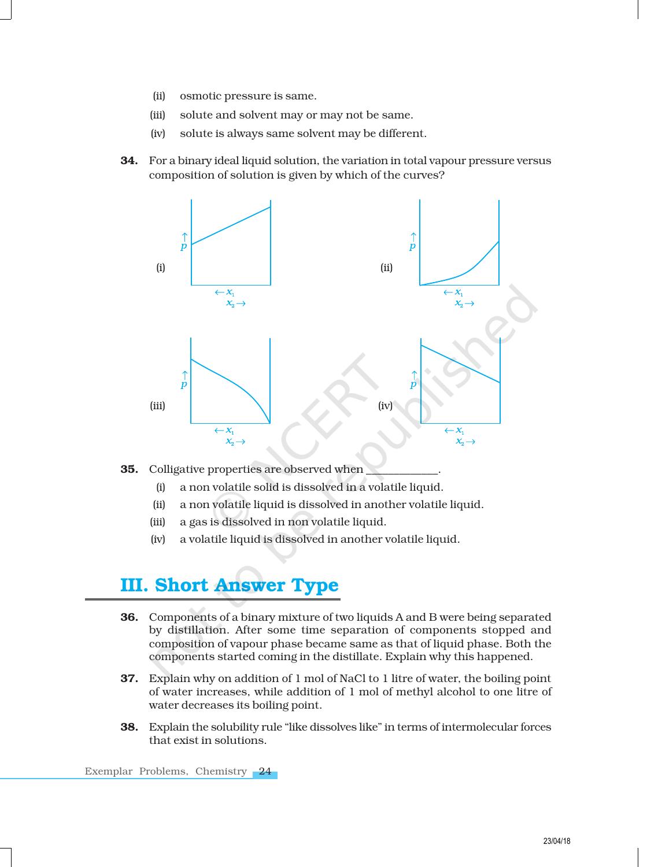- (ii) osmotic pressure is same.
- (iii) solute and solvent may or may not be same.
- (iv) solute is always same solvent may be different.
- 34. For a binary ideal liquid solution, the variation in total vapour pressure versus composition of solution is given by which of the curves?



### **35.** Colligative properties are observed when

- (i) a non volatile solid is dissolved in a volatile liquid.
- (ii) a non volatile liquid is dissolved in another volatile liquid.
- (iii) a gas is dissolved in non volatile liquid.
- (iv) a volatile liquid is dissolved in another volatile liquid.

### III. Short Answer Type

- 36. Components of a binary mixture of two liquids A and B were being separated by distillation. After some time separation of components stopped and composition of vapour phase became same as that of liquid phase. Both the components started coming in the distillate. Explain why this happened.
- 37. Explain why on addition of 1 mol of NaCl to 1 litre of water, the boiling point of water increases, while addition of 1 mol of methyl alcohol to one litre of water decreases its boiling point.
- 38. Explain the solubility rule "like dissolves like" in terms of intermolecular forces that exist in solutions.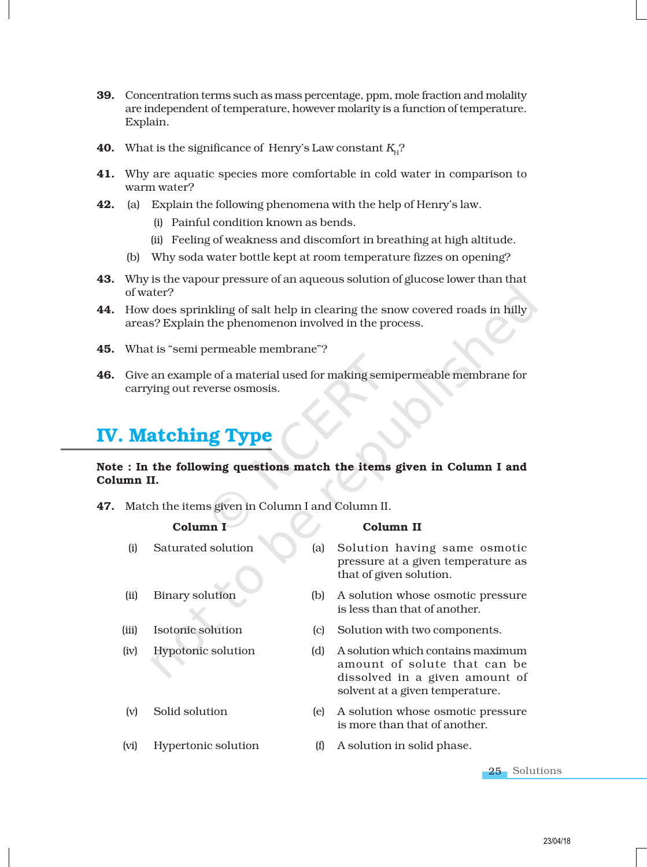- 39. Concentration terms such as mass percentage, ppm, mole fraction and molality are independent of temperature, however molarity is a function of temperature. Explain.
- **40.** What is the significance of Henry's Law constant  $K_{\text{H}}$ ?
- 41. Why are aquatic species more comfortable in cold water in comparison to warm water?
- **42.** (a) Explain the following phenomena with the help of Henry's law.
	- (i) Painful condition known as bends.
	- (ii) Feeling of weakness and discomfort in breathing at high altitude.
	- (b) Why soda water bottle kept at room temperature fizzes on opening?
- **43.** Why is the vapour pressure of an aqueous solution of glucose lower than that of water?
- 44. How does sprinkling of salt help in clearing the snow covered roads in hilly areas? Explain the phenomenon involved in the process.
- 45. What is "semi permeable membrane"?
- 46. Give an example of a material used for making semipermeable membrane for carrying out reverse osmosis.

### IV. Matching Type

### Note : In the following questions match the items given in Column I and Column II.

47. Match the items given in Column I and Column II.

|       | Column I                  |     | Column II                                                                                                                              |
|-------|---------------------------|-----|----------------------------------------------------------------------------------------------------------------------------------------|
| (i)   | Saturated solution        | (a) | Solution having same osmotic<br>pressure at a given temperature as<br>that of given solution.                                          |
| (ii)  | <b>Binary solution</b>    | (b) | A solution whose osmotic pressure<br>is less than that of another.                                                                     |
| (iii) | Isotonic solution         | (c) | Solution with two components.                                                                                                          |
| (iv)  | <b>Hypotonic solution</b> | (d) | A solution which contains maximum<br>amount of solute that can be<br>dissolved in a given amount of<br>solvent at a given temperature. |
| (v)   | Solid solution            | (e) | A solution whose osmotic pressure<br>is more than that of another.                                                                     |
| (vi)  | Hypertonic solution       | (f) | A solution in solid phase.                                                                                                             |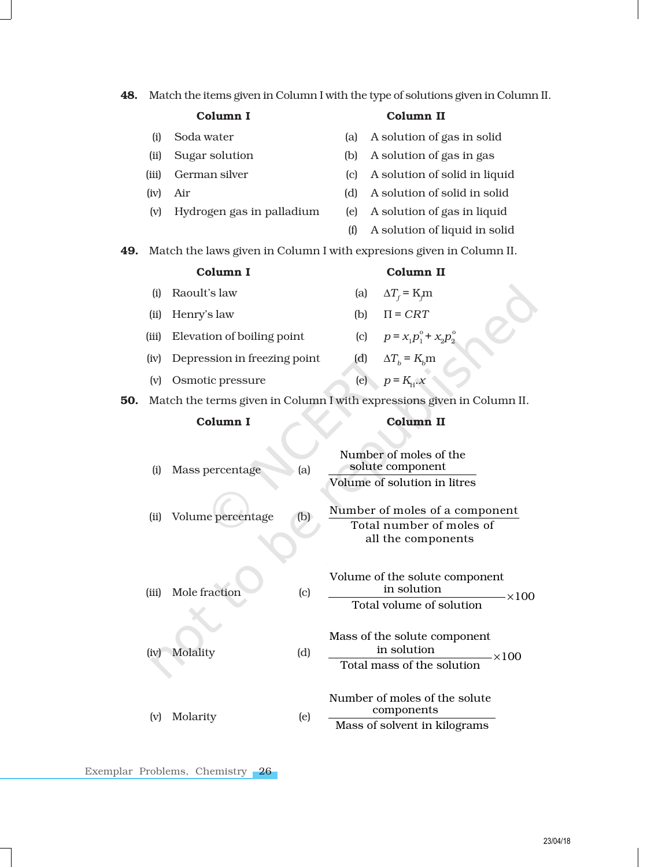| 48. |          | Match the items given in Column I with the type of solutions given in Column II. |     |     |                                                                        |  |  |
|-----|----------|----------------------------------------------------------------------------------|-----|-----|------------------------------------------------------------------------|--|--|
|     | Column I |                                                                                  |     |     | Column II                                                              |  |  |
|     | (i)      | Soda water                                                                       |     | (a) | A solution of gas in solid                                             |  |  |
|     | (ii)     | Sugar solution                                                                   |     | (b) | A solution of gas in gas                                               |  |  |
|     | (iii)    | German silver                                                                    |     | (c) | A solution of solid in liquid                                          |  |  |
|     | (iv)     | Air                                                                              |     | (d) | A solution of solid in solid                                           |  |  |
|     | (v)      | Hydrogen gas in palladium                                                        |     | (e) | A solution of gas in liquid                                            |  |  |
|     |          |                                                                                  |     | (f) | A solution of liquid in solid                                          |  |  |
| 49. |          |                                                                                  |     |     | Match the laws given in Column I with expresions given in Column II.   |  |  |
|     |          | Column I                                                                         |     |     | Column II                                                              |  |  |
|     | (i)      | Raoult's law                                                                     |     |     | $\Delta T_f$ = K <sub>m</sub><br>(a)                                   |  |  |
|     | (ii)     | Henry's law                                                                      |     |     | $\Pi = CRT$<br>(b)                                                     |  |  |
|     | (iii)    | Elevation of boiling point                                                       |     |     | (c) $p = x_1 p_1^{\circ} + x_2 p_2^{\circ}$                            |  |  |
|     | (iv)     | Depression in freezing point                                                     |     |     | (d) $\Delta T_b = K_b$ m                                               |  |  |
|     | (v)      | Osmotic pressure                                                                 |     |     | (e) $p = K_{\text{H}} x$                                               |  |  |
| 50. |          |                                                                                  |     |     | Match the terms given in Column I with expressions given in Column II. |  |  |
|     | Column I |                                                                                  |     |     | Column II                                                              |  |  |
|     |          |                                                                                  |     |     |                                                                        |  |  |
|     |          |                                                                                  |     |     |                                                                        |  |  |
|     |          |                                                                                  |     |     | Number of moles of the                                                 |  |  |
|     | (i)      | Mass percentage                                                                  | (a) |     | solute component<br>Volume of solution in litres                       |  |  |
|     |          |                                                                                  |     |     |                                                                        |  |  |
|     | (ii)     | Volume percentage                                                                | (b) |     | Number of moles of a component<br>Total number of moles of             |  |  |
|     |          |                                                                                  |     |     | all the components                                                     |  |  |
|     |          |                                                                                  |     |     |                                                                        |  |  |
|     |          |                                                                                  |     |     | Volume of the solute component                                         |  |  |
|     | (iii)    | Mole fraction                                                                    | (c) |     | in solution<br>-×100<br>Total volume of solution                       |  |  |
|     |          |                                                                                  |     |     |                                                                        |  |  |
|     |          |                                                                                  |     |     | Mass of the solute component                                           |  |  |
|     | (iv)     | Molality                                                                         | (d) |     | in solution<br>$-\times100$<br>Total mass of the solution              |  |  |
|     |          |                                                                                  |     |     |                                                                        |  |  |
|     |          |                                                                                  |     |     | Number of moles of the solute<br>components                            |  |  |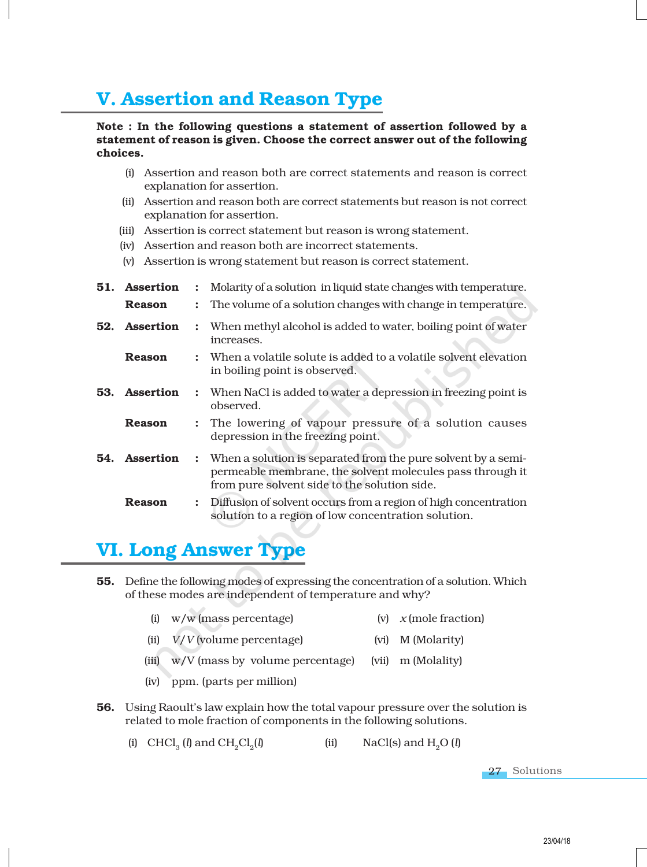# V. Assertion and Reason Type

### Note : In the following questions a statement of assertion followed by a statement of reason is given. Choose the correct answer out of the following choices.

- (i) Assertion and reason both are correct statements and reason is correct explanation for assertion.
- (ii) Assertion and reason both are correct statements but reason is not correct explanation for assertion.
- (iii) Assertion is correct statement but reason is wrong statement.
- (iv) Assertion and reason both are incorrect statements.
- (v) Assertion is wrong statement but reason is correct statement.
- **51. Assertion** : Molarity of a solution in liquid state changes with temperature. **Reason** : The volume of a solution changes with change in temperature. **52. Assertion** : When methyl alcohol is added to water, boiling point of water increases. **Reason** : When a volatile solute is added to a volatile solvent elevation in boiling point is observed. **53. Assertion** : When NaCl is added to water a depression in freezing point is observed. **Reason** : The lowering of vapour pressure of a solution causes depression in the freezing point. **54.** Assertion : When a solution is separated from the pure solvent by a semipermeable membrane, the solvent molecules pass through it from pure solvent side to the solution side. **Reason** : Diffusion of solvent occurs from a region of high concentration solution to a region of low concentration solution.

# VI. Long Answer Type

- 55. Define the following modes of expressing the concentration of a solution. Which of these modes are independent of temperature and why?
	- (i) w/w (mass percentage) (v) *x* (mole fraction)
	- (ii) *V*/*V* (volume percentage) (vi) M (Molarity)
	- (iii) w/V (mass by volume percentage) (vii) m (Molality)
	- (iv) ppm. (parts per million)
- 56. Using Raoult's law explain how the total vapour pressure over the solution is related to mole fraction of components in the following solutions.

(i) CHCl<sub>3</sub> (*l*) and CH<sub>2</sub>Cl<sub>2</sub> (*ii*)  $\text{NaCl}(s)$  and  $\text{H}_2\text{O}(l)$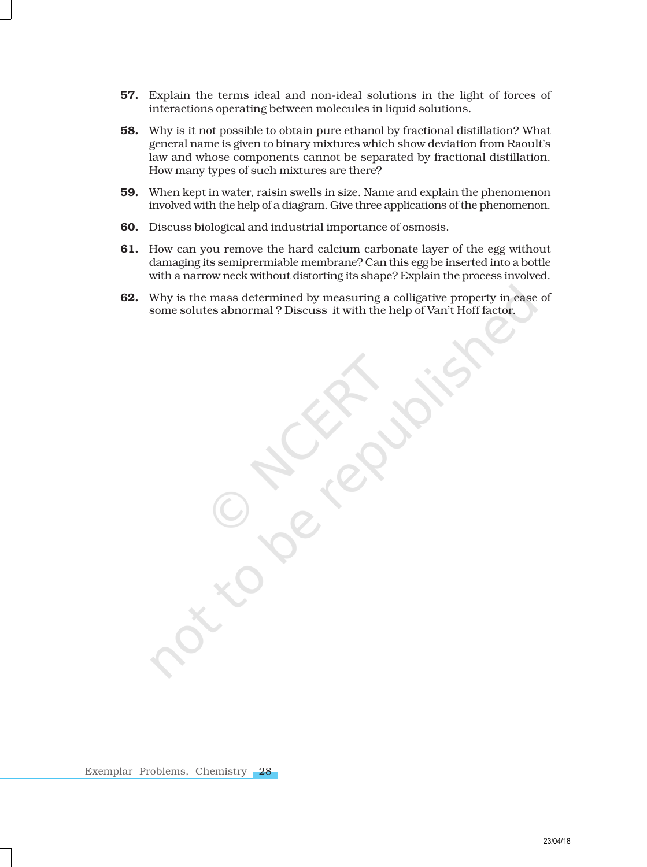- 57. Explain the terms ideal and non-ideal solutions in the light of forces of interactions operating between molecules in liquid solutions.
- 58. Why is it not possible to obtain pure ethanol by fractional distillation? What general name is given to binary mixtures which show deviation from Raoult's law and whose components cannot be separated by fractional distillation. How many types of such mixtures are there?
- 59. When kept in water, raisin swells in size. Name and explain the phenomenon involved with the help of a diagram. Give three applications of the phenomenon.
- 60. Discuss biological and industrial importance of osmosis.
- 61. How can you remove the hard calcium carbonate layer of the egg without damaging its semiprermiable membrane? Can this egg be inserted into a bottle with a narrow neck without distorting its shape? Explain the process involved.
- 62. Why is the mass determined by measuring a colligative property in case of some solutes abnormal ? Discuss it with the help of Van't Hoff factor.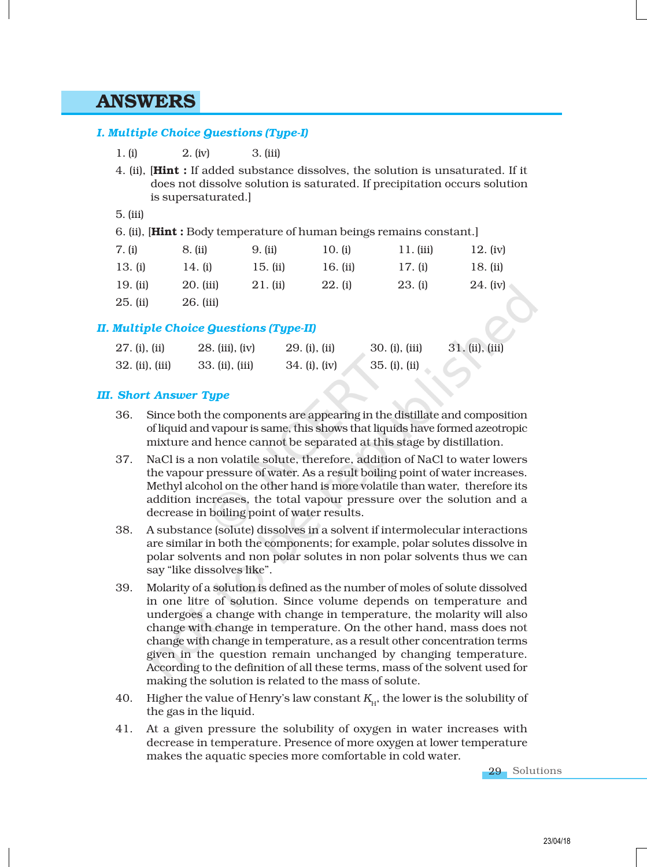### ANSWERS

### *I. Multiple Choice Questions (Type-I)*

- 4. (ii), [Hint : If added substance dissolves, the solution is unsaturated. If it does not dissolve solution is saturated. If precipitation occurs solution is supersaturated.]
- 5. (iii)

|  |  | 6. (ii), [ <b>Hint</b> : Body temperature of human beings remains constant.] |  |  |
|--|--|------------------------------------------------------------------------------|--|--|
|  |  |                                                                              |  |  |

| 7. (i)     | 8. (ii)     | 9. (ii)    | 10. (i)   | $11.$ (iii) | 12. $(iv)$ |
|------------|-------------|------------|-----------|-------------|------------|
| 13. (i)    | 14. (i)     | 15. $(ii)$ | 16. (ii)  | 17. (i)     | 18. (ii)   |
| $19.$ (ii) | $20.$ (iii) | 21. (ii)   | $22.$ (i) | 23. (i)     | 24. (iv)   |
| $25.$ (ii) | 26. (iii)   |            |           |             |            |

### *II. Multiple Choice Questions (Type-II)*

| $27.$ (i), (ii)   | 28. (iii), (iv) | $29. (i)$ , $(ii)$ | $30. (i)$ , $(iii)$ | 31. (ii), (iii) |
|-------------------|-----------------|--------------------|---------------------|-----------------|
| $32.$ (ii), (iii) | 33. (ii), (iii) | $34. (i)$ , $(iv)$ | 35. (i), (ii)       |                 |

### *III. Short Answer Type*

- 36. Since both the components are appearing in the distillate and composition of liquid and vapour is same, this shows that liquids have formed azeotropic mixture and hence cannot be separated at this stage by distillation.
- 37. NaCl is a non volatile solute, therefore, addition of NaCl to water lowers the vapour pressure of water. As a result boiling point of water increases. Methyl alcohol on the other hand is more volatile than water, therefore its addition increases, the total vapour pressure over the solution and a decrease in boiling point of water results.
- 38. A substance (solute) dissolves in a solvent if intermolecular interactions are similar in both the components; for example, polar solutes dissolve in polar solvents and non polar solutes in non polar solvents thus we can say "like dissolves like".
- 39. Molarity of a solution is defined as the number of moles of solute dissolved in one litre of solution. Since volume depends on temperature and undergoes a change with change in temperature, the molarity will also change with change in temperature. On the other hand, mass does not change with change in temperature, as a result other concentration terms given in the question remain unchanged by changing temperature. According to the definition of all these terms, mass of the solvent used for making the solution is related to the mass of solute.
- $40.$  Higher the value of Henry's law constant  $K_{\!\scriptscriptstyle H^{1}}$ , the lower is the solubility of the gas in the liquid.
- 41. At a given pressure the solubility of oxygen in water increases with decrease in temperature. Presence of more oxygen at lower temperature makes the aquatic species more comfortable in cold water.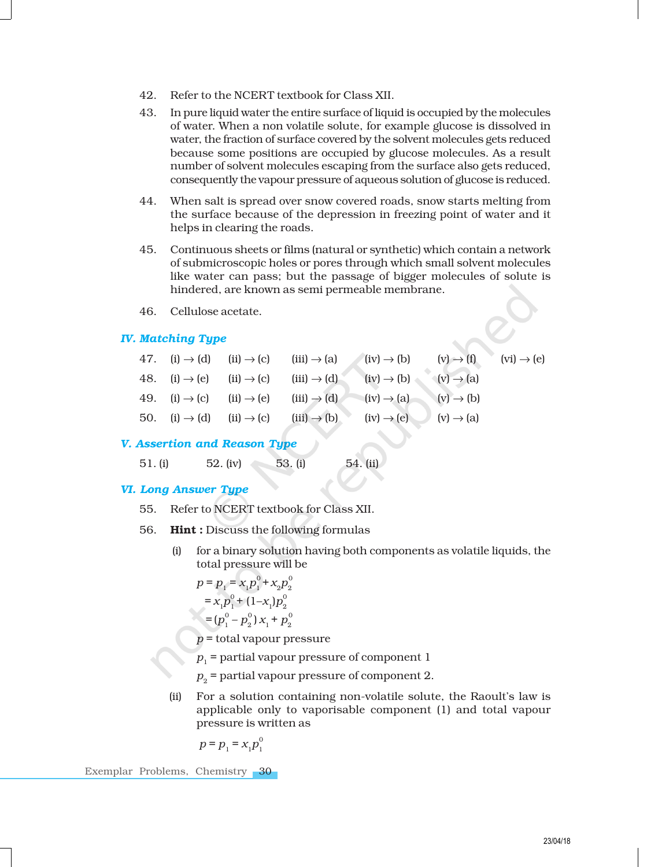- 42. Refer to the NCERT textbook for Class XII.
- 43. In pure liquid water the entire surface of liquid is occupied by the molecules of water. When a non volatile solute, for example glucose is dissolved in water, the fraction of surface covered by the solvent molecules gets reduced because some positions are occupied by glucose molecules. As a result number of solvent molecules escaping from the surface also gets reduced, consequently the vapour pressure of aqueous solution of glucose is reduced.
- 44. When salt is spread over snow covered roads, snow starts melting from the surface because of the depression in freezing point of water and it helps in clearing the roads.
- 45. Continuous sheets or films (natural or synthetic) which contain a network of submicroscopic holes or pores through which small solvent molecules like water can pass; but the passage of bigger molecules of solute is hindered, are known as semi permeable membrane.
- 46. Cellulose acetate.

### *IV. Matching Type*

|  |                                                                          | 47. (i) $\rightarrow$ (d) (ii) $\rightarrow$ (c) (iii) $\rightarrow$ (a) (iv) $\rightarrow$ (b) (v) $\rightarrow$ (f) (vi) $\rightarrow$ (e) |  |
|--|--------------------------------------------------------------------------|----------------------------------------------------------------------------------------------------------------------------------------------|--|
|  | 48. (i) $\rightarrow$ (e) (ii) $\rightarrow$ (c) (iii) $\rightarrow$ (d) | $(iv) \rightarrow (b)$ $(v) \rightarrow (a)$                                                                                                 |  |
|  |                                                                          | 49. (i) $\rightarrow$ (c) (ii) $\rightarrow$ (e) (iii) $\rightarrow$ (d) (iv) $\rightarrow$ (a) (v) $\rightarrow$ (b)                        |  |
|  |                                                                          | 50. (i) $\rightarrow$ (d) (ii) $\rightarrow$ (c) (iii) $\rightarrow$ (b) (iv) $\rightarrow$ (e) (v) $\rightarrow$ (a)                        |  |

#### *V. Assertion and Reason Type*

51. (i) 52. (iv) 53. (i) 54. (ii)

### *VI. Long Answer Type*

- 55. Refer to NCERT textbook for Class XII.
- 56. Hint : Discuss the following formulas
	- (i) for a binary solution having both components as volatile liquids, the total pressure will be

$$
p = p_1 = x_1 p_1^0 + x_2 p_2^0
$$
  
=  $x_1 p_1^0 + (1 - x_1) p_2^0$   
=  $(p_1^0 - p_2^0) x_1 + p_2^0$ 

- *p* = total vapour pressure
- *p*1 = partial vapour pressure of component 1
- $p_{2}$  = partial vapour pressure of component 2.
- (ii) For a solution containing non-volatile solute, the Raoult's law is applicable only to vaporisable component (1) and total vapour pressure is written as

$$
p = p_{1} = x_{1}p_{1}^{0}
$$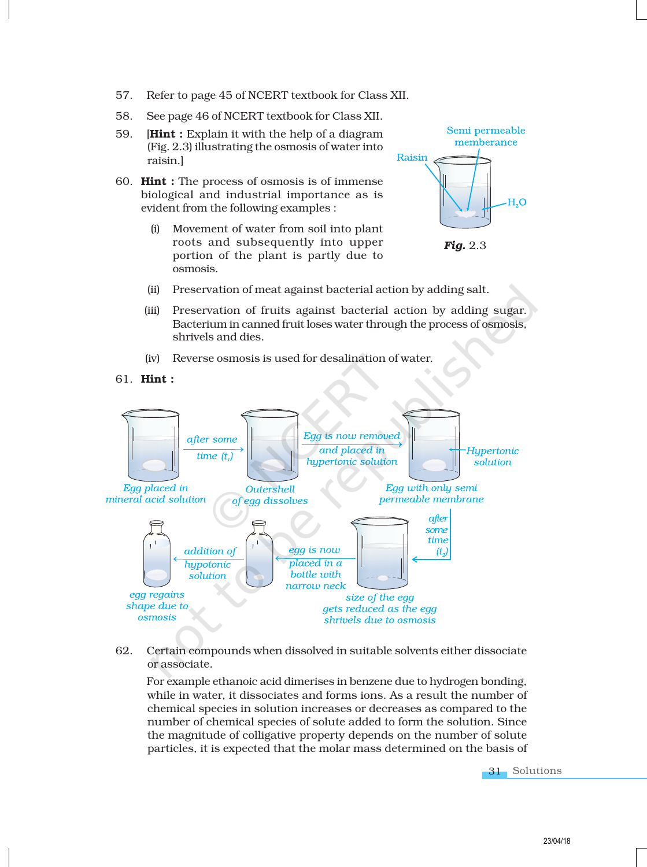- 57. Refer to page 45 of NCERT textbook for Class XII.
- 58. See page 46 of NCERT textbook for Class XII.
- 59. **[Hint :** Explain it with the help of a diagram (Fig. 2.3) illustrating the osmosis of water into raisin.]
- 60. Hint : The process of osmosis is of immense biological and industrial importance as is evident from the following examples :
	- (i) Movement of water from soil into plant roots and subsequently into upper portion of the plant is partly due to osmosis.



*Fig.* 2.3

- (ii) Preservation of meat against bacterial action by adding salt.
- (iii) Preservation of fruits against bacterial action by adding sugar. Bacterium in canned fruit loses water through the process of osmosis, shrivels and dies.
- (iv) Reverse osmosis is used for desalination of water.
- 61. Hint :



62. Certain compounds when dissolved in suitable solvents either dissociate or associate.

For example ethanoic acid dimerises in benzene due to hydrogen bonding, while in water, it dissociates and forms ions. As a result the number of chemical species in solution increases or decreases as compared to the number of chemical species of solute added to form the solution. Since the magnitude of colligative property depends on the number of solute particles, it is expected that the molar mass determined on the basis of